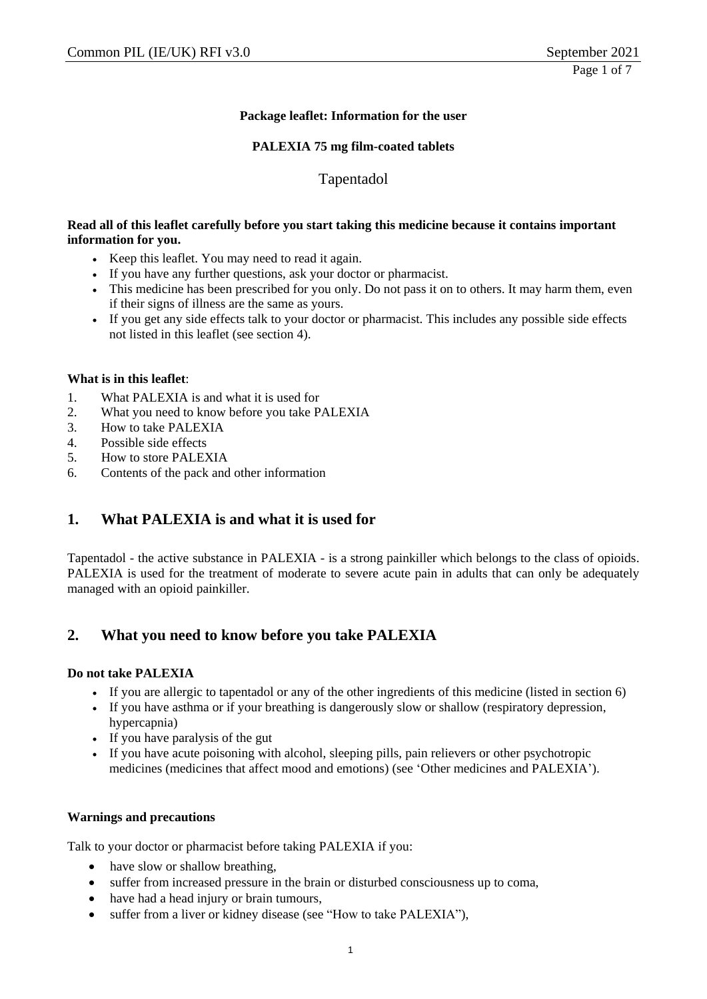### **Package leaflet: Information for the user**

#### **PALEXIA 75 mg film-coated tablets**

### Tapentadol

#### **Read all of this leaflet carefully before you start taking this medicine because it contains important information for you.**

- Keep this leaflet. You may need to read it again.
- If you have any further questions, ask your doctor or pharmacist.
- This medicine has been prescribed for you only. Do not pass it on to others. It may harm them, even if their signs of illness are the same as yours.
- If you get any side effects talk to your doctor or pharmacist. This includes any possible side effects not listed in this leaflet (see section 4).

#### **What is in this leaflet**:

- 1. What PALEXIA is and what it is used for
- 2. What you need to know before you take PALEXIA
- 3. How to take PALEXIA
- 4. Possible side effects
- 5. How to store PALEXIA
- 6. Contents of the pack and other information

# **1. What PALEXIA is and what it is used for**

Tapentadol - the active substance in PALEXIA - is a strong painkiller which belongs to the class of opioids. PALEXIA is used for the treatment of moderate to severe acute pain in adults that can only be adequately managed with an opioid painkiller.

# **2. What you need to know before you take PALEXIA**

#### **Do not take PALEXIA**

- If you are allergic to tapentadol or any of the other ingredients of this medicine (listed in section 6)
- If you have asthma or if your breathing is dangerously slow or shallow (respiratory depression, hypercapnia)
- If you have paralysis of the gut
- If you have acute poisoning with alcohol, sleeping pills, pain relievers or other psychotropic medicines (medicines that affect mood and emotions) (see 'Other medicines and PALEXIA').

#### **Warnings and precautions**

Talk to your doctor or pharmacist before taking PALEXIA if you:

- have slow or shallow breathing,
- suffer from increased pressure in the brain or disturbed consciousness up to coma,
- have had a head injury or brain tumours,
- suffer from a liver or kidney disease (see "How to take PALEXIA"),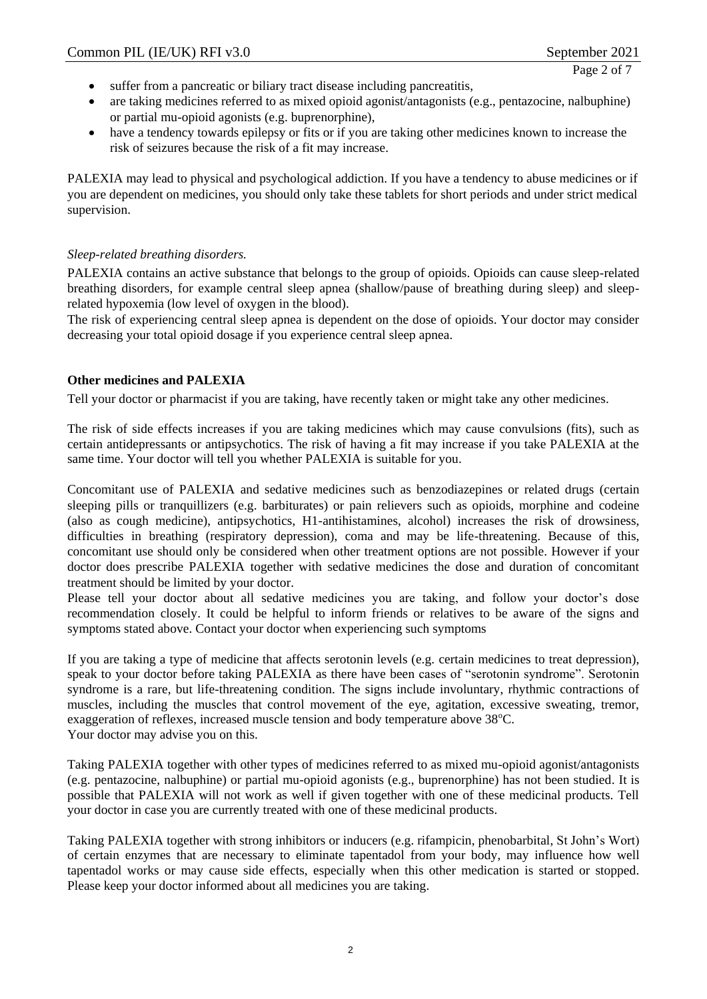Page 2 of 7

- suffer from a pancreatic or biliary tract disease including pancreatitis,
- are taking medicines referred to as mixed opioid agonist/antagonists (e.g., pentazocine, nalbuphine) or partial mu-opioid agonists (e.g. buprenorphine),
- have a tendency towards epilepsy or fits or if you are taking other medicines known to increase the risk of seizures because the risk of a fit may increase.

PALEXIA may lead to physical and psychological addiction. If you have a tendency to abuse medicines or if you are dependent on medicines, you should only take these tablets for short periods and under strict medical supervision.

#### *Sleep-related breathing disorders.*

PALEXIA contains an active substance that belongs to the group of opioids. Opioids can cause sleep-related breathing disorders, for example central sleep apnea (shallow/pause of breathing during sleep) and sleeprelated hypoxemia (low level of oxygen in the blood).

The risk of experiencing central sleep apnea is dependent on the dose of opioids. Your doctor may consider decreasing your total opioid dosage if you experience central sleep apnea.

#### **Other medicines and PALEXIA**

Tell your doctor or pharmacist if you are taking, have recently taken or might take any other medicines.

The risk of side effects increases if you are taking medicines which may cause convulsions (fits), such as certain antidepressants or antipsychotics. The risk of having a fit may increase if you take PALEXIA at the same time. Your doctor will tell you whether PALEXIA is suitable for you.

Concomitant use of PALEXIA and sedative medicines such as benzodiazepines or related drugs (certain sleeping pills or tranquillizers (e.g. barbiturates) or pain relievers such as opioids, morphine and codeine (also as cough medicine), antipsychotics, H1-antihistamines, alcohol) increases the risk of drowsiness, difficulties in breathing (respiratory depression), coma and may be life-threatening. Because of this, concomitant use should only be considered when other treatment options are not possible. However if your doctor does prescribe PALEXIA together with sedative medicines the dose and duration of concomitant treatment should be limited by your doctor.

Please tell your doctor about all sedative medicines you are taking, and follow your doctor's dose recommendation closely. It could be helpful to inform friends or relatives to be aware of the signs and symptoms stated above. Contact your doctor when experiencing such symptoms

If you are taking a type of medicine that affects serotonin levels (e.g. certain medicines to treat depression), speak to your doctor before taking PALEXIA as there have been cases of "serotonin syndrome". Serotonin syndrome is a rare, but life-threatening condition. The signs include involuntary, rhythmic contractions of muscles, including the muscles that control movement of the eye, agitation, excessive sweating, tremor, exaggeration of reflexes, increased muscle tension and body temperature above 38°C. Your doctor may advise you on this.

Taking PALEXIA together with other types of medicines referred to as mixed mu-opioid agonist/antagonists (e.g. pentazocine, nalbuphine) or partial mu-opioid agonists (e.g., buprenorphine) has not been studied. It is possible that PALEXIA will not work as well if given together with one of these medicinal products. Tell your doctor in case you are currently treated with one of these medicinal products.

Taking PALEXIA together with strong inhibitors or inducers (e.g. rifampicin, phenobarbital, St John's Wort) of certain enzymes that are necessary to eliminate tapentadol from your body, may influence how well tapentadol works or may cause side effects, especially when this other medication is started or stopped. Please keep your doctor informed about all medicines you are taking.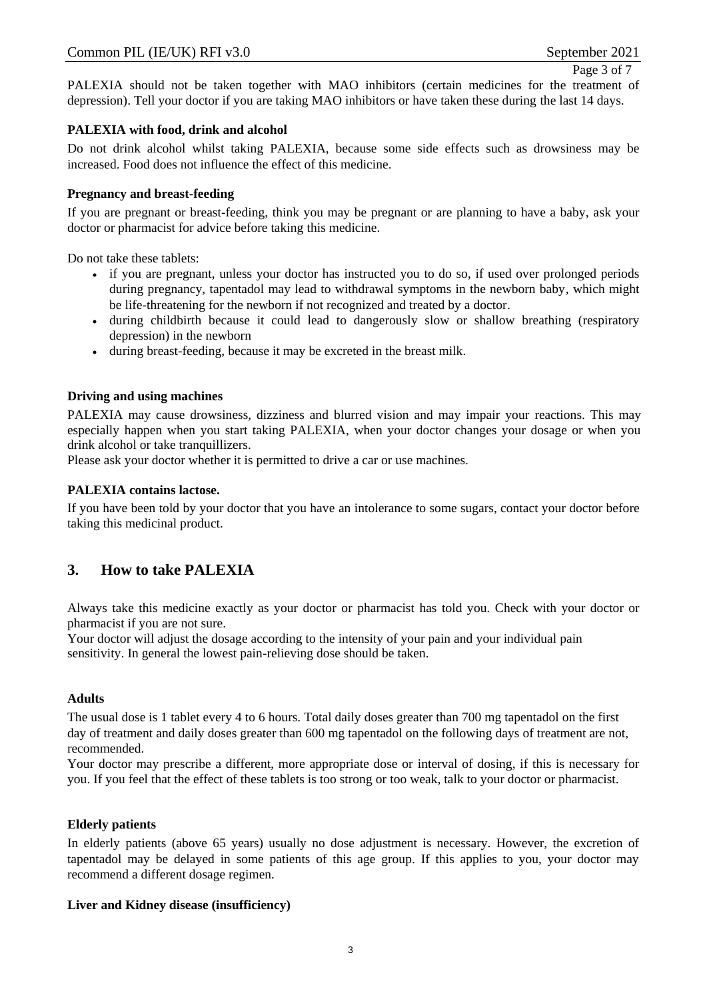Page 3 of 7

PALEXIA should not be taken together with MAO inhibitors (certain medicines for the treatment of depression). Tell your doctor if you are taking MAO inhibitors or have taken these during the last 14 days.

### **PALEXIA with food, drink and alcohol**

Do not drink alcohol whilst taking PALEXIA, because some side effects such as drowsiness may be increased. Food does not influence the effect of this medicine.

#### **Pregnancy and breast-feeding**

If you are pregnant or breast-feeding, think you may be pregnant or are planning to have a baby, ask your doctor or pharmacist for advice before taking this medicine.

Do not take these tablets:

- if you are pregnant, unless your doctor has instructed you to do so, if used over prolonged periods during pregnancy, tapentadol may lead to withdrawal symptoms in the newborn baby, which might be life-threatening for the newborn if not recognized and treated by a doctor.
- during childbirth because it could lead to dangerously slow or shallow breathing (respiratory depression) in the newborn
- during breast-feeding, because it may be excreted in the breast milk.

#### **Driving and using machines**

PALEXIA may cause drowsiness, dizziness and blurred vision and may impair your reactions. This may especially happen when you start taking PALEXIA, when your doctor changes your dosage or when you drink alcohol or take tranquillizers.

Please ask your doctor whether it is permitted to drive a car or use machines.

#### **PALEXIA contains lactose.**

If you have been told by your doctor that you have an intolerance to some sugars, contact your doctor before taking this medicinal product.

# **3. How to take PALEXIA**

Always take this medicine exactly as your doctor or pharmacist has told you. Check with your doctor or pharmacist if you are not sure.

Your doctor will adjust the dosage according to the intensity of your pain and your individual pain sensitivity. In general the lowest pain-relieving dose should be taken.

#### **Adults**

The usual dose is 1 tablet every 4 to 6 hours. Total daily doses greater than 700 mg tapentadol on the first day of treatment and daily doses greater than 600 mg tapentadol on the following days of treatment are not, recommended.

Your doctor may prescribe a different, more appropriate dose or interval of dosing, if this is necessary for you. If you feel that the effect of these tablets is too strong or too weak, talk to your doctor or pharmacist.

#### **Elderly patients**

In elderly patients (above 65 years) usually no dose adjustment is necessary. However, the excretion of tapentadol may be delayed in some patients of this age group. If this applies to you, your doctor may recommend a different dosage regimen.

#### **Liver and Kidney disease (insufficiency)**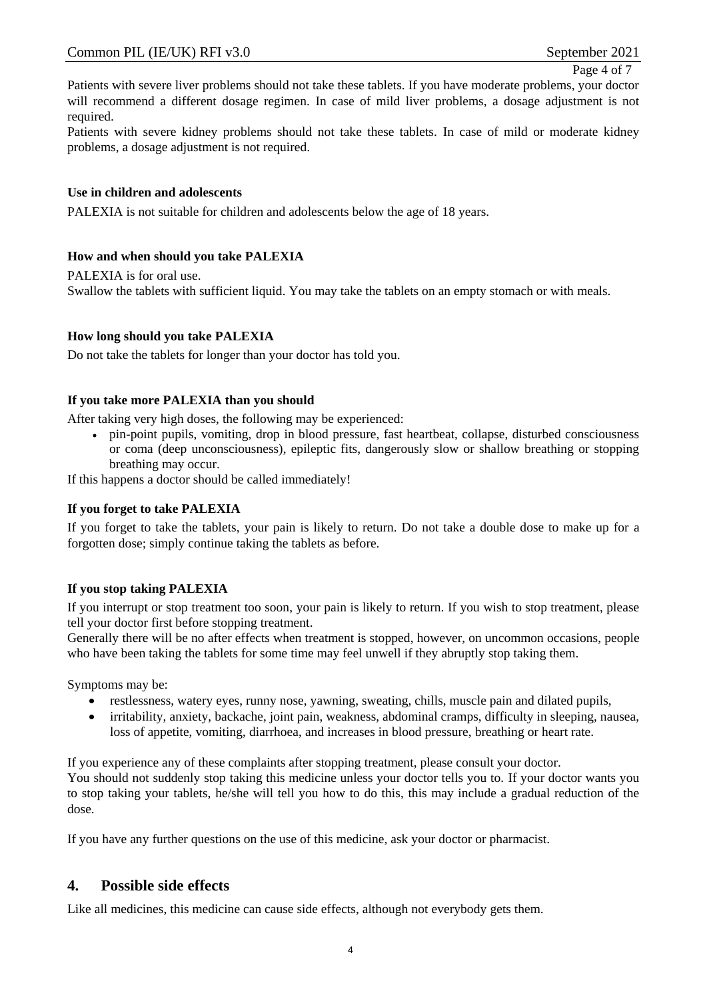Page 4 of 7

Patients with severe liver problems should not take these tablets. If you have moderate problems, your doctor will recommend a different dosage regimen. In case of mild liver problems, a dosage adjustment is not required.

Patients with severe kidney problems should not take these tablets. In case of mild or moderate kidney problems, a dosage adjustment is not required.

#### **Use in children and adolescents**

PALEXIA is not suitable for children and adolescents below the age of 18 years.

#### **How and when should you take PALEXIA**

PALEXIA is for oral use. Swallow the tablets with sufficient liquid. You may take the tablets on an empty stomach or with meals.

#### **How long should you take PALEXIA**

Do not take the tablets for longer than your doctor has told you.

#### **If you take more PALEXIA than you should**

After taking very high doses, the following may be experienced:

 pin-point pupils, vomiting, drop in blood pressure, fast heartbeat, collapse, disturbed consciousness or coma (deep unconsciousness), epileptic fits, dangerously slow or shallow breathing or stopping breathing may occur.

If this happens a doctor should be called immediately!

#### **If you forget to take PALEXIA**

If you forget to take the tablets, your pain is likely to return. Do not take a double dose to make up for a forgotten dose; simply continue taking the tablets as before.

#### **If you stop taking PALEXIA**

If you interrupt or stop treatment too soon, your pain is likely to return. If you wish to stop treatment, please tell your doctor first before stopping treatment.

Generally there will be no after effects when treatment is stopped, however, on uncommon occasions, people who have been taking the tablets for some time may feel unwell if they abruptly stop taking them.

Symptoms may be:

- restlessness, watery eyes, runny nose, yawning, sweating, chills, muscle pain and dilated pupils,
- irritability, anxiety, backache, joint pain, weakness, abdominal cramps, difficulty in sleeping, nausea, loss of appetite, vomiting, diarrhoea, and increases in blood pressure, breathing or heart rate.

If you experience any of these complaints after stopping treatment, please consult your doctor. You should not suddenly stop taking this medicine unless your doctor tells you to. If your doctor wants you to stop taking your tablets, he/she will tell you how to do this, this may include a gradual reduction of the dose.

If you have any further questions on the use of this medicine, ask your doctor or pharmacist.

### **4. Possible side effects**

Like all medicines, this medicine can cause side effects, although not everybody gets them.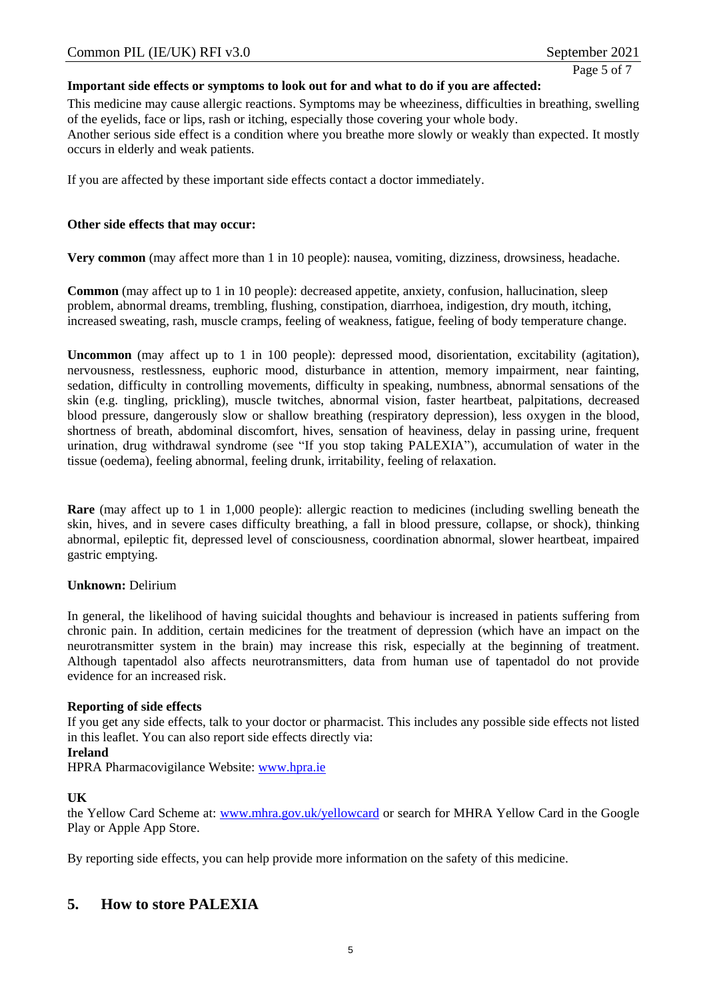Page 5 of 7

#### **Important side effects or symptoms to look out for and what to do if you are affected:**

This medicine may cause allergic reactions. Symptoms may be wheeziness, difficulties in breathing, swelling of the eyelids, face or lips, rash or itching, especially those covering your whole body. Another serious side effect is a condition where you breathe more slowly or weakly than expected. It mostly occurs in elderly and weak patients.

If you are affected by these important side effects contact a doctor immediately.

#### **Other side effects that may occur:**

**Very common** (may affect more than 1 in 10 people): nausea, vomiting, dizziness, drowsiness, headache.

**Common** (may affect up to 1 in 10 people): decreased appetite, anxiety, confusion, hallucination, sleep problem, abnormal dreams, trembling, flushing, constipation, diarrhoea, indigestion, dry mouth, itching, increased sweating, rash, muscle cramps, feeling of weakness, fatigue, feeling of body temperature change.

**Uncommon** (may affect up to 1 in 100 people): depressed mood, disorientation, excitability (agitation), nervousness, restlessness, euphoric mood, disturbance in attention, memory impairment, near fainting, sedation, difficulty in controlling movements, difficulty in speaking, numbness, abnormal sensations of the skin (e.g. tingling, prickling), muscle twitches, abnormal vision, faster heartbeat, palpitations, decreased blood pressure, dangerously slow or shallow breathing (respiratory depression), less oxygen in the blood, shortness of breath, abdominal discomfort, hives, sensation of heaviness, delay in passing urine, frequent urination, drug withdrawal syndrome (see "If you stop taking PALEXIA"), accumulation of water in the tissue (oedema), feeling abnormal, feeling drunk, irritability, feeling of relaxation.

**Rare** (may affect up to 1 in 1,000 people): allergic reaction to medicines (including swelling beneath the skin, hives, and in severe cases difficulty breathing, a fall in blood pressure, collapse, or shock), thinking abnormal, epileptic fit, depressed level of consciousness, coordination abnormal, slower heartbeat, impaired gastric emptying.

### **Unknown:** Delirium

In general, the likelihood of having suicidal thoughts and behaviour is increased in patients suffering from chronic pain. In addition, certain medicines for the treatment of depression (which have an impact on the neurotransmitter system in the brain) may increase this risk, especially at the beginning of treatment. Although tapentadol also affects neurotransmitters, data from human use of tapentadol do not provide evidence for an increased risk.

#### **Reporting of side effects**

If you get any side effects, talk to your doctor or pharmacist. This includes any possible side effects not listed in this leaflet. You can also report side effects directly via:

#### **Ireland**

HPRA Pharmacovigilance Website: [www.hpra.ie](http://www.hpra.ie/)

#### **UK**

the Yellow Card Scheme at: [www.mhra.gov.uk/yellowcard](http://www.mhra.gov.uk/yellowcard) or search for MHRA Yellow Card in the Google Play or Apple App Store.

By reporting side effects, you can help provide more information on the safety of this medicine.

# **5. How to store PALEXIA**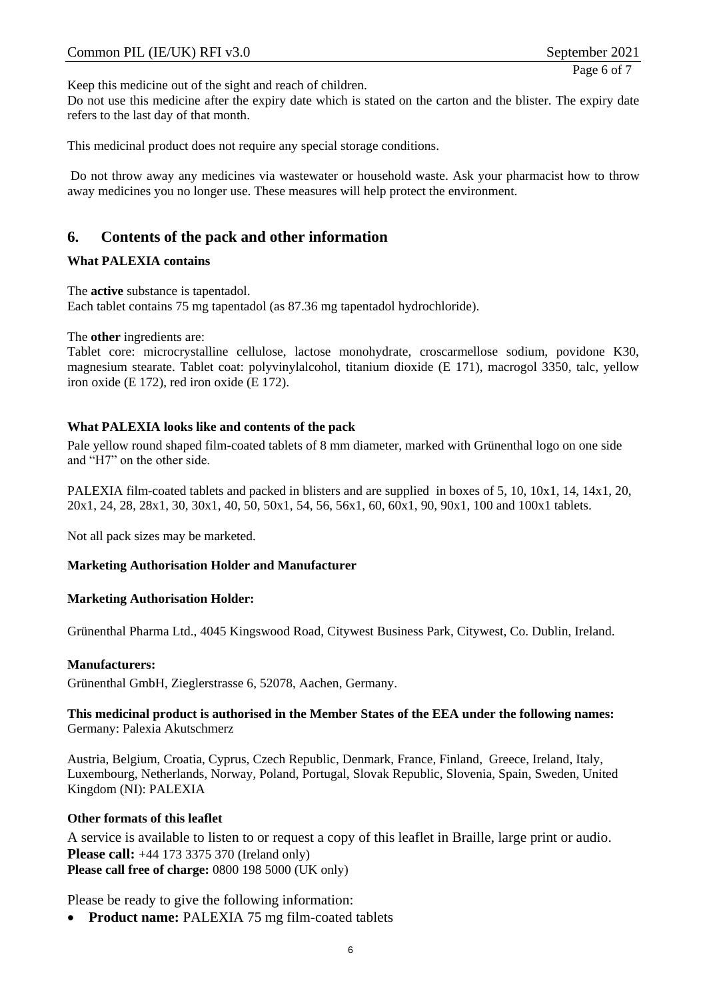Keep this medicine out of the sight and reach of children.

Do not use this medicine after the expiry date which is stated on the carton and the blister. The expiry date refers to the last day of that month.

This medicinal product does not require any special storage conditions.

Do not throw away any medicines via wastewater or household waste. Ask your pharmacist how to throw away medicines you no longer use. These measures will help protect the environment.

# **6. Contents of the pack and other information**

#### **What PALEXIA contains**

The **active** substance is tapentadol. Each tablet contains 75 mg tapentadol (as 87.36 mg tapentadol hydrochloride).

The **other** ingredients are:

Tablet core: microcrystalline cellulose, lactose monohydrate, croscarmellose sodium, povidone K30, magnesium stearate. Tablet coat: polyvinylalcohol, titanium dioxide (E 171), macrogol 3350, talc, yellow iron oxide (E 172), red iron oxide (E 172).

#### **What PALEXIA looks like and contents of the pack**

Pale yellow round shaped film-coated tablets of 8 mm diameter, marked with Grünenthal logo on one side and "H7" on the other side.

PALEXIA film-coated tablets and packed in blisters and are supplied in boxes of 5, 10, 10x1, 14, 14x1, 20, 20x1, 24, 28, 28x1, 30, 30x1, 40, 50, 50x1, 54, 56, 56x1, 60, 60x1, 90, 90x1, 100 and 100x1 tablets.

Not all pack sizes may be marketed.

### **Marketing Authorisation Holder and Manufacturer**

#### **Marketing Authorisation Holder:**

Grünenthal Pharma Ltd., 4045 Kingswood Road, Citywest Business Park, Citywest, Co. Dublin, Ireland.

#### **Manufacturers:**

Grünenthal GmbH, Zieglerstrasse 6, 52078, Aachen, Germany.

#### **This medicinal product is authorised in the Member States of the EEA under the following names:** Germany: Palexia Akutschmerz

Austria, Belgium, Croatia, Cyprus, Czech Republic, Denmark, France, Finland, Greece, Ireland, Italy, Luxembourg, Netherlands, Norway, Poland, Portugal, Slovak Republic, Slovenia, Spain, Sweden, United Kingdom (NI): PALEXIA

#### **Other formats of this leaflet**

A service is available to listen to or request a copy of this leaflet in Braille, large print or audio. **Please call:** +44 173 3375 370 (Ireland only) **Please call free of charge:** 0800 198 5000 (UK only)

Please be ready to give the following information:

• Product name: PALEXIA 75 mg film-coated tablets